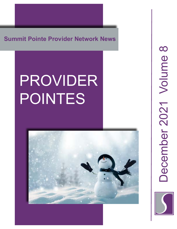**Summit Pointe Provider Network News**

# PROVIDER POINTES



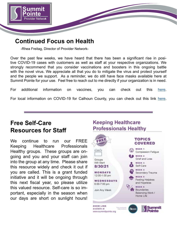

### **Continued Focus on Health**

-Rhea Freitag, Director of Provider Network-

Over the past few weeks, we have heard that there has been a significant rise in positive COVID-19 cases with customers as well as staff at your respective organizations. We strongly recommend that you consider vaccinations and boosters in this ongoing battle with the novel virus. We appreciate all that you do to mitigate the virus and protect yourself and the people we support. As a reminder, we do still have face masks available here at Summit Pointe for your use. Feel free to reach out to me directly if your organization is in need.

For additional information on vaccines, you can check out this <u>[here](
https://www.cdc.gov/coronavirus/2019-ncov/vaccines/keythingstoknow.html?s_cid=10493:covid%2019%20vaccines:sem.ga:p:RG:GM:gen:PTN:FY21
)</u>. For local information on COVID-19 for Calhoun County, you can check out this link [here](https://calhouncountymi.gov/departments/public_health_department/covid_data_dashboard.php).

## **Free Self-Care Resources for Staff**

We continue to run our FREE Keeping Healthcare Professionals Healthy groups. These groups are ongoing and you and your staff can join into the group at any time. Please share this resource widely and check it out if you are called. This is a grant funded initiative and it will be ongoing through this next fiscal year, so please utilize this valued resource. Self-care is so important, especially in the season when our days are short on sunlight hours!

#### **Professionals Healthy TOPICS COVERED WEEK 1** Compassion Fatigue WEEK<sub>2</sub> Grief and Loss Groups Will Start WEEK<sub>3</sub> Self-Care 8/30/21 **WEEK 4 MONDAYS** Secondary Trauma 12:00-1:00 pm WEEK 5 Feeling Helpless WEDNESDAYS and Hopeless 6:00-7:00 pm **WEEK 6** Boundaries Join Any Week Balancing Work / Home Life **ZOOM LINK** available at www.summitpointe.org

**Keeping Healthcare**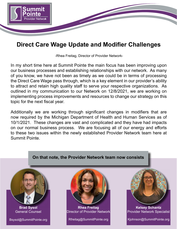

## **Direct Care Wage Update and Modifier Challenges**

-Rhea Freitag, Director of Provider Network-

In my short time here at Summit Pointe the main focus has been improving upon our business processes and establishing relationships with our network. As many of you know, we have not been as timely as we could be in terms of processing the Direct Care Wage pass through, which is a key element in our provider's ability to attract and retain high quality staff to serve your respective organizations. As outlined in my communication to our Network on 12/8/2021, we are working on implementing process improvements and resources to change our strategy on this topic for the next fiscal year.

Additionally we are working through significant changes in modifiers that are now required by the Michigan Department of Health and Human Services as of 10/1/2021. These changes are vast and complicated and they have had impacts on our normal business process. We are focusing all of our energy and efforts to these two issues within the newly established Provider Network team here at Summit Pointe.